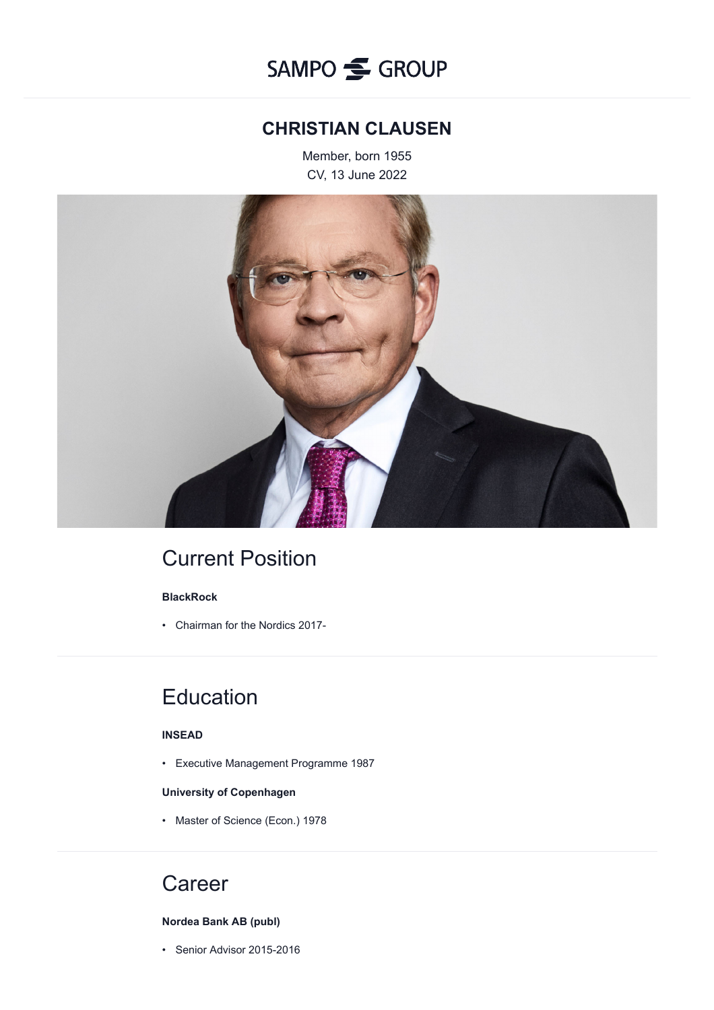## **CHRISTIAN CLAUSEN**

Member, born 1955 CV, 13 June 2022



# Current Position

## **BlackRock**

• Chairman for the Nordics 2017-

# **Education**

### **INSEAD**

• Executive Management Programme 1987

### **University of Copenhagen**

• Master of Science (Econ.) 1978

# **Career**

### **Nordea Bank AB (publ)**

• Senior Advisor 2015-2016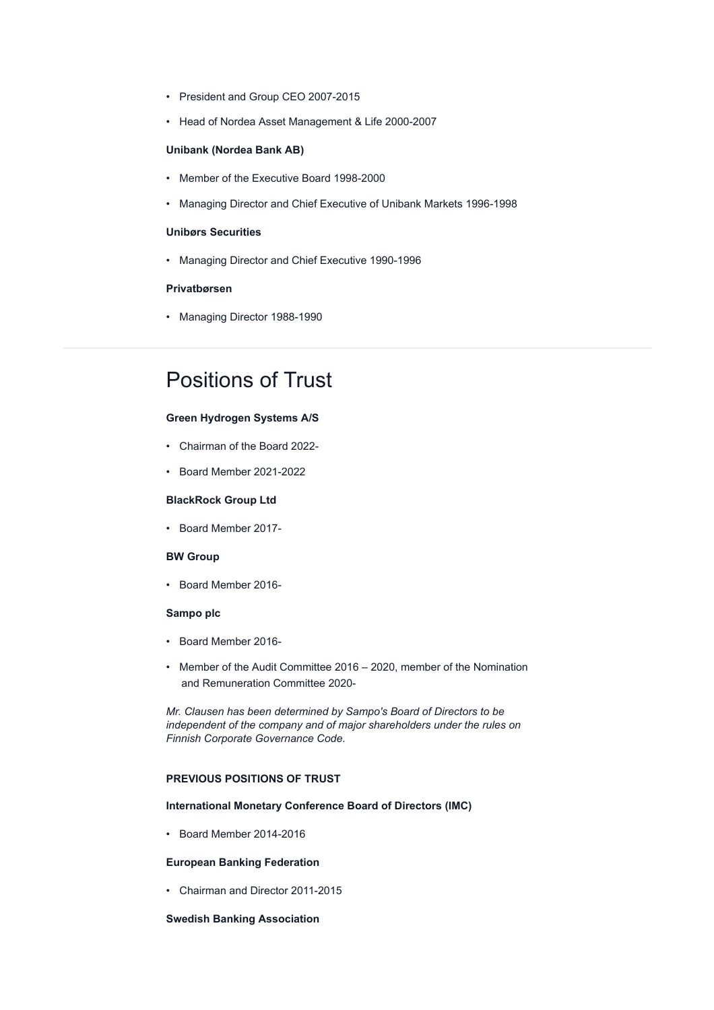- President and Group CEO 2007-2015
- Head of Nordea Asset Management & Life 2000-2007

#### **Unibank (Nordea Bank AB)**

- Member of the Executive Board 1998-2000
- Managing Director and Chief Executive of Unibank Markets 1996-1998

#### **Unibørs Securities**

• Managing Director and Chief Executive 1990-1996

#### **Privatbørsen**

• Managing Director 1988-1990

# Positions of Trust

#### **Green Hydrogen Systems A/S**

- Chairman of the Board 2022-
- Board Member 2021-2022

#### **BlackRock Group Ltd**

• Board Member 2017-

#### **BW Group**

• Board Member 2016-

#### **Sampo plc**

- Board Member 2016-
- Member of the Audit Committee 2016 2020, member of the Nomination and Remuneration Committee 2020-

*Mr. Clausen has been determined by Sampo's Board of Directors to be independent of the company and of major shareholders under the rules on Finnish Corporate Governance Code.*

#### **PREVIOUS POSITIONS OF TRUST**

#### **International Monetary Conference Board of Directors (IMC)**

• Board Member 2014-2016

#### **European Banking Federation**

• Chairman and Director 2011-2015

#### **Swedish Banking Association**